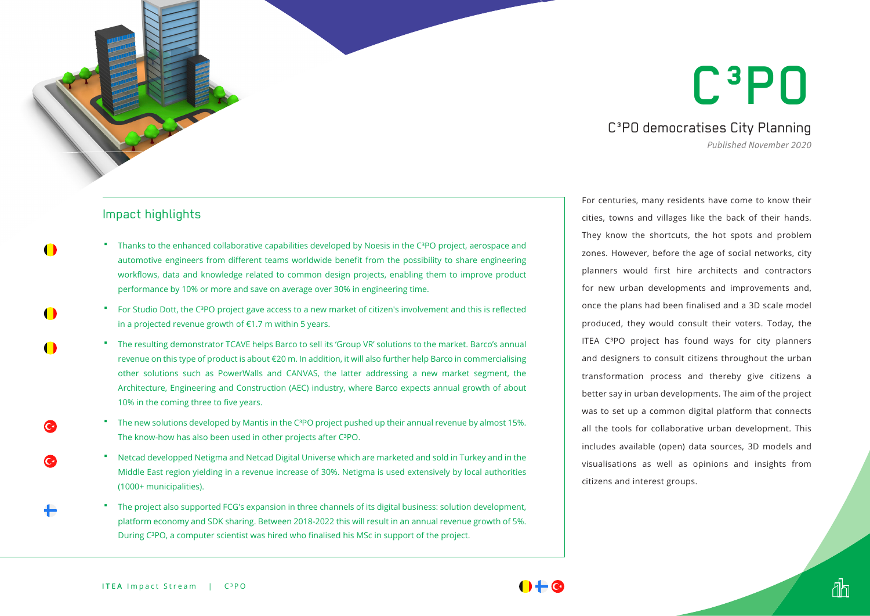## C³PO

C<sup>3</sup>PO democratises City Planning

*Published November 2020*

đh

## Impact highlights

- **Thanks to the enhanced collaborative capabilities developed by Noesis in the C** ${}^{3}$ **PO project, aerospace and** automotive engineers from different teams worldwide benefit from the possibility to share engineering workflows, data and knowledge related to common design projects, enabling them to improve product performance by 10% or more and save on average over 30% in engineering time.
	- For Studio Dott, the C³PO project gave access to a new market of citizen's involvement and this is reflected in a projected revenue growth of €1.7 m within 5 years.
	- The resulting demonstrator TCAVE helps Barco to sell its 'Group VR' solutions to the market. Barco's annual revenue on this type of product is about €20 m. In addition, it will also further help Barco in commercialising other solutions such as PowerWalls and CANVAS, the latter addressing a new market segment, the Architecture, Engineering and Construction (AEC) industry, where Barco expects annual growth of about 10% in the coming three to five years.
	- The new solutions developed by Mantis in the C<sup>3</sup>PO project pushed up their annual revenue by almost 15%. The know-how has also been used in other projects after C<sup>3</sup>PO.
	- Netcad developped Netigma and Netcad Digital Universe which are marketed and sold in Turkey and in the Middle East region yielding in a revenue increase of 30%. Netigma is used extensively by local authorities (1000+ municipalities).
	- The project also supported FCG's expansion in three channels of its digital business: solution development, platform economy and SDK sharing. Between 2018-2022 this will result in an annual revenue growth of 5%. During C<sup>3</sup>PO, a computer scientist was hired who finalised his MSc in support of the project.

For centuries, many residents have come to know their cities, towns and villages like the back of their hands. They know the shortcuts, the hot spots and problem zones. However, before the age of social networks, city planners would first hire architects and contractors for new urban developments and improvements and, once the plans had been finalised and a 3D scale model produced, they would consult their voters. Today, the ITEA C<sup>3</sup>PO project has found ways for city planners and designers to consult citizens throughout the urban transformation process and thereby give citizens a better say in urban developments. The aim of the project was to set up a common digital platform that connects all the tools for collaborative urban development. This includes available (open) data sources, 3D models and visualisations as well as opinions and insights from citizens and interest groups.